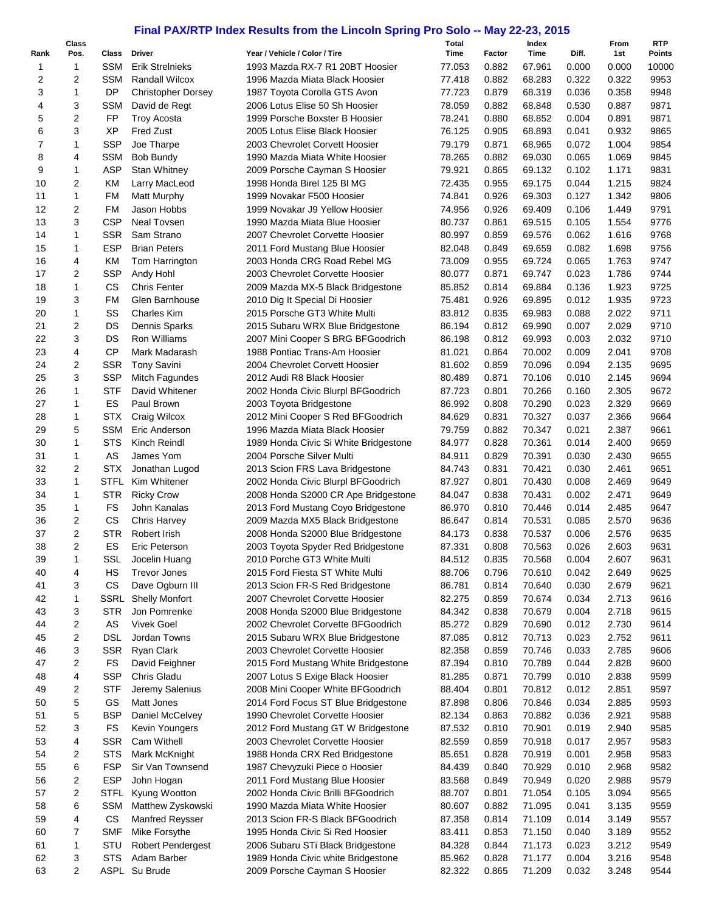## **Final PAX/RTP Index Results from the Lincoln Spring Pro Solo -- May 22-23, 2015**

|                | Class                   |             |                           |                                       | Total  |        | Index  |       | From  | <b>RTP</b>    |
|----------------|-------------------------|-------------|---------------------------|---------------------------------------|--------|--------|--------|-------|-------|---------------|
| Rank           | Pos.                    | Class       | Driver                    | Year / Vehicle / Color / Tire         | Time   | Factor | Time   | Diff. | 1st   | <b>Points</b> |
| 1              | $\mathbf{1}$            | <b>SSM</b>  | <b>Erik Strelnieks</b>    | 1993 Mazda RX-7 R1 20BT Hoosier       | 77.053 | 0.882  | 67.961 | 0.000 | 0.000 | 10000         |
| $\overline{c}$ | 2                       | <b>SSM</b>  | <b>Randall Wilcox</b>     | 1996 Mazda Miata Black Hoosier        | 77.418 | 0.882  | 68.283 | 0.322 | 0.322 | 9953          |
| 3              | $\mathbf{1}$            | <b>DP</b>   | <b>Christopher Dorsey</b> | 1987 Toyota Corolla GTS Avon          | 77.723 | 0.879  | 68.319 | 0.036 | 0.358 | 9948          |
| 4              | 3                       | <b>SSM</b>  | David de Regt             | 2006 Lotus Elise 50 Sh Hoosier        | 78.059 | 0.882  | 68.848 | 0.530 | 0.887 | 9871          |
| 5              | $\overline{2}$          | <b>FP</b>   | <b>Troy Acosta</b>        | 1999 Porsche Boxster B Hoosier        | 78.241 | 0.880  | 68.852 | 0.004 | 0.891 | 9871          |
| 6              | 3                       | XP          | <b>Fred Zust</b>          | 2005 Lotus Elise Black Hoosier        | 76.125 | 0.905  | 68.893 | 0.041 | 0.932 | 9865          |
| $\overline{7}$ | 1                       | <b>SSP</b>  | Joe Tharpe                | 2003 Chevrolet Corvett Hoosier        | 79.179 | 0.871  | 68.965 | 0.072 | 1.004 | 9854          |
| 8              | 4                       | <b>SSM</b>  | <b>Bob Bundy</b>          | 1990 Mazda Miata White Hoosier        | 78.265 | 0.882  | 69.030 | 0.065 | 1.069 | 9845          |
| 9              | 1                       | ASP         | <b>Stan Whitney</b>       | 2009 Porsche Cayman S Hoosier         | 79.921 | 0.865  | 69.132 | 0.102 | 1.171 | 9831          |
| 10             | 2                       | ΚM          | Larry MacLeod             | 1998 Honda Birel 125 BI MG            | 72.435 | 0.955  | 69.175 | 0.044 | 1.215 | 9824          |
| 11             | 1                       | <b>FM</b>   | <b>Matt Murphy</b>        | 1999 Novakar F500 Hoosier             | 74.841 | 0.926  | 69.303 | 0.127 | 1.342 | 9806          |
| 12             | 2                       | <b>FM</b>   | Jason Hobbs               | 1999 Novakar J9 Yellow Hoosier        | 74.956 | 0.926  | 69.409 | 0.106 | 1.449 | 9791          |
| 13             | 3                       | <b>CSP</b>  | Neal Tovsen               | 1990 Mazda Miata Blue Hoosier         | 80.737 | 0.861  | 69.515 | 0.105 | 1.554 | 9776          |
| 14             | 1                       | <b>SSR</b>  | Sam Strano                | 2007 Chevrolet Corvette Hoosier       |        | 0.859  |        | 0.062 |       | 9768          |
|                |                         | <b>ESP</b>  |                           |                                       | 80.997 |        | 69.576 |       | 1.616 |               |
| 15             | $\mathbf{1}$            |             | <b>Brian Peters</b>       | 2011 Ford Mustang Blue Hoosier        | 82.048 | 0.849  | 69.659 | 0.082 | 1.698 | 9756          |
| 16             | 4                       | ΚM          | Tom Harrington            | 2003 Honda CRG Road Rebel MG          | 73.009 | 0.955  | 69.724 | 0.065 | 1.763 | 9747          |
| 17             | 2                       | <b>SSP</b>  | Andy Hohl                 | 2003 Chevrolet Corvette Hoosier       | 80.077 | 0.871  | 69.747 | 0.023 | 1.786 | 9744          |
| 18             | 1                       | CS          | <b>Chris Fenter</b>       | 2009 Mazda MX-5 Black Bridgestone     | 85.852 | 0.814  | 69.884 | 0.136 | 1.923 | 9725          |
| 19             | 3                       | <b>FM</b>   | Glen Barnhouse            | 2010 Dig It Special Di Hoosier        | 75.481 | 0.926  | 69.895 | 0.012 | 1.935 | 9723          |
| 20             | $\mathbf{1}$            | SS          | <b>Charles Kim</b>        | 2015 Porsche GT3 White Multi          | 83.812 | 0.835  | 69.983 | 0.088 | 2.022 | 9711          |
| 21             | 2                       | DS          | Dennis Sparks             | 2015 Subaru WRX Blue Bridgestone      | 86.194 | 0.812  | 69.990 | 0.007 | 2.029 | 9710          |
| 22             | 3                       | DS          | <b>Ron Williams</b>       | 2007 Mini Cooper S BRG BFGoodrich     | 86.198 | 0.812  | 69.993 | 0.003 | 2.032 | 9710          |
| 23             | $\overline{\mathbf{4}}$ | <b>CP</b>   | Mark Madarash             | 1988 Pontiac Trans-Am Hoosier         | 81.021 | 0.864  | 70.002 | 0.009 | 2.041 | 9708          |
| 24             | 2                       | <b>SSR</b>  | <b>Tony Savini</b>        | 2004 Chevrolet Corvett Hoosier        | 81.602 | 0.859  | 70.096 | 0.094 | 2.135 | 9695          |
| 25             | 3                       | <b>SSP</b>  | Mitch Fagundes            | 2012 Audi R8 Black Hoosier            | 80.489 | 0.871  | 70.106 | 0.010 | 2.145 | 9694          |
| 26             | $\mathbf{1}$            | STF         | David Whitener            | 2002 Honda Civic Blurpl BFGoodrich    | 87.723 | 0.801  | 70.266 | 0.160 | 2.305 | 9672          |
| 27             | 1                       | ES          | Paul Brown                | 2003 Toyota Bridgestone               | 86.992 | 0.808  | 70.290 | 0.023 | 2.329 | 9669          |
| 28             | $\mathbf{1}$            | <b>STX</b>  | Craig Wilcox              | 2012 Mini Cooper S Red BFGoodrich     | 84.629 | 0.831  | 70.327 | 0.037 | 2.366 | 9664          |
| 29             | 5                       | <b>SSM</b>  | Eric Anderson             | 1996 Mazda Miata Black Hoosier        | 79.759 | 0.882  | 70.347 | 0.021 | 2.387 | 9661          |
| 30             | $\mathbf{1}$            | <b>STS</b>  | Kinch Reindl              | 1989 Honda Civic Si White Bridgestone | 84.977 | 0.828  | 70.361 | 0.014 | 2.400 | 9659          |
| 31             | $\mathbf{1}$            | AS          | James Yom                 | 2004 Porsche Silver Multi             | 84.911 | 0.829  | 70.391 | 0.030 | 2.430 | 9655          |
| 32             | 2                       | <b>STX</b>  | Jonathan Lugod            | 2013 Scion FRS Lava Bridgestone       | 84.743 | 0.831  | 70.421 | 0.030 | 2.461 | 9651          |
| 33             | 1                       |             | STFL Kim Whitener         | 2002 Honda Civic Blurpl BFGoodrich    | 87.927 | 0.801  | 70.430 | 0.008 | 2.469 | 9649          |
| 34             | 1                       | <b>STR</b>  | <b>Ricky Crow</b>         | 2008 Honda S2000 CR Ape Bridgestone   | 84.047 | 0.838  | 70.431 | 0.002 | 2.471 | 9649          |
| 35             | 1                       | <b>FS</b>   | John Kanalas              |                                       |        |        |        | 0.014 |       | 9647          |
|                |                         |             |                           | 2013 Ford Mustang Coyo Bridgestone    | 86.970 | 0.810  | 70.446 |       | 2.485 |               |
| 36             | 2                       | CS          | <b>Chris Harvey</b>       | 2009 Mazda MX5 Black Bridgestone      | 86.647 | 0.814  | 70.531 | 0.085 | 2.570 | 9636          |
| 37             | $\overline{c}$          | <b>STR</b>  | Robert Irish              | 2008 Honda S2000 Blue Bridgestone     | 84.173 | 0.838  | 70.537 | 0.006 | 2.576 | 9635          |
| 38             | 2                       | ES          | Eric Peterson             | 2003 Toyota Spyder Red Bridgestone    | 87.331 | 0.808  | 70.563 | 0.026 | 2.603 | 9631          |
| 39             | 1                       | SSL         | Jocelin Huang             | 2010 Porche GT3 White Multi           | 84.512 | 0.835  | 70.568 | 0.004 | 2.607 | 9631          |
| 40             | 4                       | HS          | <b>Trevor Jones</b>       | 2015 Ford Fiesta ST White Multi       | 88.706 | 0.796  | 70.610 | 0.042 | 2.649 | 9625          |
| 41             | 3                       | CS          | Dave Ogburn III           | 2013 Scion FR-S Red Bridgestone       | 86.781 | 0.814  | 70.640 | 0.030 | 2.679 | 9621          |
| 42             | 1                       | SSRL        | <b>Shelly Monfort</b>     | 2007 Chevrolet Corvette Hoosier       | 82.275 | 0.859  | 70.674 | 0.034 | 2.713 | 9616          |
| 43             | 3                       | STR         | Jon Pomrenke              | 2008 Honda S2000 Blue Bridgestone     | 84.342 | 0.838  | 70.679 | 0.004 | 2.718 | 9615          |
| 44             | 2                       | AS          | <b>Vivek Goel</b>         | 2002 Chevrolet Corvette BFGoodrich    | 85.272 | 0.829  | 70.690 | 0.012 | 2.730 | 9614          |
| 45             | 2                       | DSL         | Jordan Towns              | 2015 Subaru WRX Blue Bridgestone      | 87.085 | 0.812  | 70.713 | 0.023 | 2.752 | 9611          |
| 46             | 3                       | SSR         | Ryan Clark                | 2003 Chevrolet Corvette Hoosier       | 82.358 | 0.859  | 70.746 | 0.033 | 2.785 | 9606          |
| 47             | 2                       | FS          | David Feighner            | 2015 Ford Mustang White Bridgestone   | 87.394 | 0.810  | 70.789 | 0.044 | 2.828 | 9600          |
| 48             | 4                       | <b>SSP</b>  | Chris Gladu               | 2007 Lotus S Exige Black Hoosier      | 81.285 | 0.871  | 70.799 | 0.010 | 2.838 | 9599          |
| 49             | 2                       | <b>STF</b>  | Jeremy Salenius           | 2008 Mini Cooper White BFGoodrich     | 88.404 | 0.801  | 70.812 | 0.012 | 2.851 | 9597          |
| 50             | 5                       | GS          | Matt Jones                | 2014 Ford Focus ST Blue Bridgestone   | 87.898 | 0.806  | 70.846 | 0.034 | 2.885 | 9593          |
| 51             | 5                       | <b>BSP</b>  | Daniel McCelvey           | 1990 Chevrolet Corvette Hoosier       | 82.134 | 0.863  | 70.882 | 0.036 | 2.921 | 9588          |
| 52             | 3                       | FS          | Kevin Youngers            | 2012 Ford Mustang GT W Bridgestone    | 87.532 | 0.810  | 70.901 | 0.019 | 2.940 | 9585          |
| 53             | 4                       | <b>SSR</b>  | Cam Withell               | 2003 Chevrolet Corvette Hoosier       | 82.559 | 0.859  | 70.918 | 0.017 | 2.957 | 9583          |
| 54             | 2                       | <b>STS</b>  | Mark McKnight             | 1988 Honda CRX Red Bridgestone        | 85.651 | 0.828  | 70.919 | 0.001 | 2.958 | 9583          |
| 55             | 6                       | <b>FSP</b>  | Sir Van Townsend          |                                       |        | 0.840  | 70.929 | 0.010 | 2.968 | 9582          |
|                |                         |             |                           | 1987 Chevyzuki Piece o Hoosier        | 84.439 |        |        |       |       |               |
| 56             | 2                       | <b>ESP</b>  | John Hogan                | 2011 Ford Mustang Blue Hoosier        | 83.568 | 0.849  | 70.949 | 0.020 | 2.988 | 9579          |
| 57             | 2                       | <b>STFL</b> | Kyung Wootton             | 2002 Honda Civic Brilli BFGoodrich    | 88.707 | 0.801  | 71.054 | 0.105 | 3.094 | 9565          |
| 58             | 6                       | <b>SSM</b>  | Matthew Zyskowski         | 1990 Mazda Miata White Hoosier        | 80.607 | 0.882  | 71.095 | 0.041 | 3.135 | 9559          |
| 59             | 4                       | CS          | Manfred Reysser           | 2013 Scion FR-S Black BFGoodrich      | 87.358 | 0.814  | 71.109 | 0.014 | 3.149 | 9557          |
| 60             | 7                       | <b>SMF</b>  | Mike Forsythe             | 1995 Honda Civic Si Red Hoosier       | 83.411 | 0.853  | 71.150 | 0.040 | 3.189 | 9552          |
| 61             | 1                       | STU         | <b>Robert Pendergest</b>  | 2006 Subaru STi Black Bridgestone     | 84.328 | 0.844  | 71.173 | 0.023 | 3.212 | 9549          |
| 62             | 3                       | <b>STS</b>  | Adam Barber               | 1989 Honda Civic white Bridgestone    | 85.962 | 0.828  | 71.177 | 0.004 | 3.216 | 9548          |
| 63             | 2                       |             | ASPL Su Brude             | 2009 Porsche Cayman S Hoosier         | 82.322 | 0.865  | 71.209 | 0.032 | 3.248 | 9544          |
|                |                         |             |                           |                                       |        |        |        |       |       |               |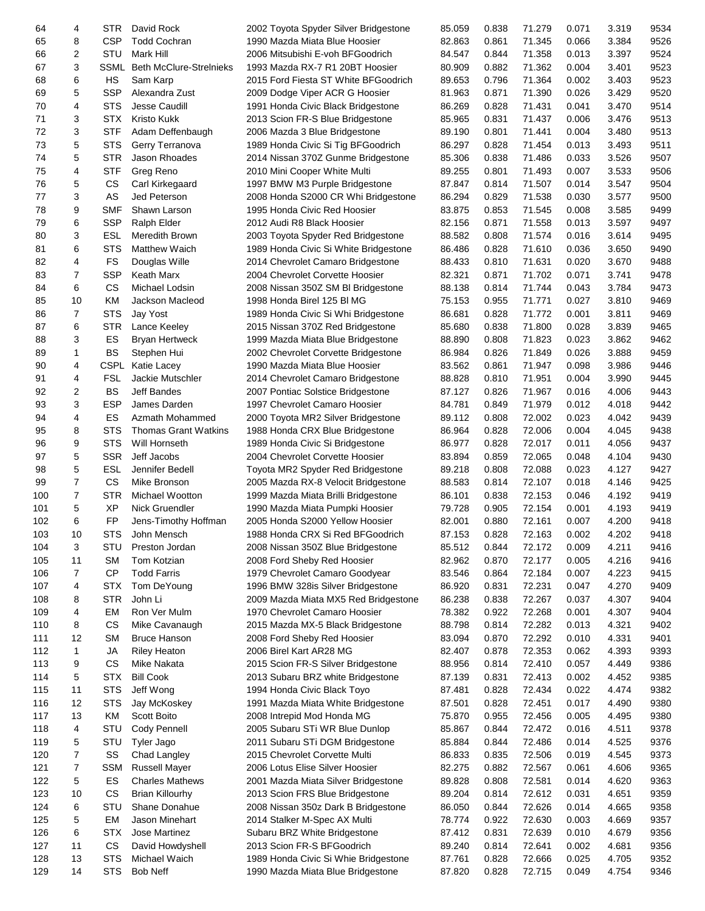| 64  | 4              | STR.        | David Rock                          | 2002 Toyota Spyder Silver Bridgestone | 85.059 | 0.838 | 71.279 | 0.071 | 3.319 | 9534 |
|-----|----------------|-------------|-------------------------------------|---------------------------------------|--------|-------|--------|-------|-------|------|
| 65  | 8              | <b>CSP</b>  | <b>Todd Cochran</b>                 | 1990 Mazda Miata Blue Hoosier         | 82.863 | 0.861 | 71.345 | 0.066 | 3.384 | 9526 |
| 66  | 2              | STU         | Mark Hill                           | 2006 Mitsubishi E-voh BFGoodrich      | 84.547 | 0.844 | 71.358 | 0.013 | 3.397 | 9524 |
| 67  | 3              |             | <b>SSML</b> Beth McClure-Strelnieks | 1993 Mazda RX-7 R1 20BT Hoosier       | 80.909 | 0.882 | 71.362 | 0.004 | 3.401 | 9523 |
| 68  | 6              | HS          | Sam Karp                            | 2015 Ford Fiesta ST White BFGoodrich  | 89.653 | 0.796 | 71.364 | 0.002 | 3.403 | 9523 |
| 69  | 5              | <b>SSP</b>  | Alexandra Zust                      | 2009 Dodge Viper ACR G Hoosier        | 81.963 | 0.871 | 71.390 | 0.026 | 3.429 | 9520 |
|     | 4              | <b>STS</b>  | <b>Jesse Caudill</b>                | 1991 Honda Civic Black Bridgestone    | 86.269 | 0.828 | 71.431 | 0.041 | 3.470 | 9514 |
| 70  |                |             |                                     |                                       |        |       |        |       |       |      |
| 71  | 3              | <b>STX</b>  | <b>Kristo Kukk</b>                  | 2013 Scion FR-S Blue Bridgestone      | 85.965 | 0.831 | 71.437 | 0.006 | 3.476 | 9513 |
| 72  | 3              | <b>STF</b>  | Adam Deffenbaugh                    | 2006 Mazda 3 Blue Bridgestone         | 89.190 | 0.801 | 71.441 | 0.004 | 3.480 | 9513 |
| 73  | 5              | <b>STS</b>  | Gerry Terranova                     | 1989 Honda Civic Si Tig BFGoodrich    | 86.297 | 0.828 | 71.454 | 0.013 | 3.493 | 9511 |
| 74  | 5              | <b>STR</b>  | Jason Rhoades                       | 2014 Nissan 370Z Gunme Bridgestone    | 85.306 | 0.838 | 71.486 | 0.033 | 3.526 | 9507 |
| 75  | 4              | <b>STF</b>  | Greg Reno                           | 2010 Mini Cooper White Multi          | 89.255 | 0.801 | 71.493 | 0.007 | 3.533 | 9506 |
| 76  | 5              | CS          | Carl Kirkegaard                     | 1997 BMW M3 Purple Bridgestone        | 87.847 | 0.814 | 71.507 | 0.014 | 3.547 | 9504 |
| 77  | 3              | AS          | Jed Peterson                        | 2008 Honda S2000 CR Whi Bridgestone   | 86.294 | 0.829 | 71.538 | 0.030 | 3.577 | 9500 |
| 78  | 9              | <b>SMF</b>  | Shawn Larson                        | 1995 Honda Civic Red Hoosier          | 83.875 | 0.853 | 71.545 | 0.008 | 3.585 | 9499 |
| 79  | 6              | <b>SSP</b>  | Ralph Elder                         | 2012 Audi R8 Black Hoosier            | 82.156 | 0.871 | 71.558 | 0.013 | 3.597 | 9497 |
| 80  | 3              | <b>ESL</b>  | Meredith Brown                      | 2003 Toyota Spyder Red Bridgestone    | 88.582 | 0.808 | 71.574 | 0.016 | 3.614 | 9495 |
| 81  | 6              | <b>STS</b>  | Matthew Waich                       | 1989 Honda Civic Si White Bridgestone | 86.486 | 0.828 | 71.610 | 0.036 | 3.650 | 9490 |
| 82  | 4              | <b>FS</b>   | Douglas Wille                       | 2014 Chevrolet Camaro Bridgestone     | 88.433 | 0.810 | 71.631 | 0.020 | 3.670 | 9488 |
|     | 7              |             |                                     |                                       |        |       |        |       |       | 9478 |
| 83  |                | <b>SSP</b>  | Keath Marx                          | 2004 Chevrolet Corvette Hoosier       | 82.321 | 0.871 | 71.702 | 0.071 | 3.741 |      |
| 84  | 6              | CS          | Michael Lodsin                      | 2008 Nissan 350Z SM BI Bridgestone    | 88.138 | 0.814 | 71.744 | 0.043 | 3.784 | 9473 |
| 85  | 10             | KM          | Jackson Macleod                     | 1998 Honda Birel 125 BI MG            | 75.153 | 0.955 | 71.771 | 0.027 | 3.810 | 9469 |
| 86  | 7              | <b>STS</b>  | Jay Yost                            | 1989 Honda Civic Si Whi Bridgestone   | 86.681 | 0.828 | 71.772 | 0.001 | 3.811 | 9469 |
| 87  | 6              | <b>STR</b>  | Lance Keeley                        | 2015 Nissan 370Z Red Bridgestone      | 85.680 | 0.838 | 71.800 | 0.028 | 3.839 | 9465 |
| 88  | 3              | ES          | <b>Bryan Hertweck</b>               | 1999 Mazda Miata Blue Bridgestone     | 88.890 | 0.808 | 71.823 | 0.023 | 3.862 | 9462 |
| 89  | $\mathbf{1}$   | BS          | Stephen Hui                         | 2002 Chevrolet Corvette Bridgestone   | 86.984 | 0.826 | 71.849 | 0.026 | 3.888 | 9459 |
| 90  | 4              | <b>CSPL</b> | Katie Lacey                         | 1990 Mazda Miata Blue Hoosier         | 83.562 | 0.861 | 71.947 | 0.098 | 3.986 | 9446 |
| 91  | 4              | <b>FSL</b>  | Jackie Mutschler                    | 2014 Chevrolet Camaro Bridgestone     | 88.828 | 0.810 | 71.951 | 0.004 | 3.990 | 9445 |
| 92  | 2              | <b>BS</b>   | <b>Jeff Bandes</b>                  | 2007 Pontiac Solstice Bridgestone     | 87.127 | 0.826 | 71.967 | 0.016 | 4.006 | 9443 |
| 93  | 3              | <b>ESP</b>  | James Darden                        | 1997 Chevrolet Camaro Hoosier         | 84.781 | 0.849 | 71.979 | 0.012 | 4.018 | 9442 |
| 94  | 4              | ES          | Azmath Mohammed                     | 2000 Toyota MR2 Silver Bridgestone    | 89.112 | 0.808 | 72.002 | 0.023 | 4.042 | 9439 |
| 95  | 8              | <b>STS</b>  | <b>Thomas Grant Watkins</b>         | 1988 Honda CRX Blue Bridgestone       | 86.964 | 0.828 | 72.006 | 0.004 | 4.045 | 9438 |
| 96  | 9              | <b>STS</b>  | Will Hornseth                       |                                       | 86.977 | 0.828 | 72.017 | 0.011 | 4.056 | 9437 |
|     |                |             |                                     | 1989 Honda Civic Si Bridgestone       |        |       |        |       |       |      |
| 97  | 5              | <b>SSR</b>  | Jeff Jacobs                         | 2004 Chevrolet Corvette Hoosier       | 83.894 | 0.859 | 72.065 | 0.048 | 4.104 | 9430 |
| 98  | 5              | <b>ESL</b>  | Jennifer Bedell                     | Toyota MR2 Spyder Red Bridgestone     | 89.218 | 0.808 | 72.088 | 0.023 | 4.127 | 9427 |
| 99  | $\overline{7}$ | <b>CS</b>   | Mike Bronson                        | 2005 Mazda RX-8 Velocit Bridgestone   | 88.583 | 0.814 | 72.107 | 0.018 | 4.146 | 9425 |
| 100 | 7              | <b>STR</b>  | Michael Wootton                     | 1999 Mazda Miata Brilli Bridgestone   | 86.101 | 0.838 | 72.153 | 0.046 | 4.192 | 9419 |
| 101 | 5              | XP          | <b>Nick Gruendler</b>               | 1990 Mazda Miata Pumpki Hoosier       | 79.728 | 0.905 | 72.154 | 0.001 | 4.193 | 9419 |
| 102 | 6              | <b>FP</b>   | Jens-Timothy Hoffman                | 2005 Honda S2000 Yellow Hoosier       | 82.001 | 0.880 | 72.161 | 0.007 | 4.200 | 9418 |
| 103 | 10             | <b>STS</b>  | John Mensch                         | 1988 Honda CRX Si Red BFGoodrich      | 87.153 | 0.828 | 72.163 | 0.002 | 4.202 | 9418 |
| 104 | 3              | STU         | Preston Jordan                      | 2008 Nissan 350Z Blue Bridgestone     | 85.512 | 0.844 | 72.172 | 0.009 | 4.211 | 9416 |
| 105 | 11             | <b>SM</b>   | Tom Kotzian                         | 2008 Ford Sheby Red Hoosier           | 82.962 | 0.870 | 72.177 | 0.005 | 4.216 | 9416 |
| 106 | 7              | <b>CP</b>   | <b>Todd Farris</b>                  | 1979 Chevrolet Camaro Goodyear        | 83.546 | 0.864 | 72.184 | 0.007 | 4.223 | 9415 |
| 107 | 4              | <b>STX</b>  | Tom DeYoung                         | 1996 BMW 328is Silver Bridgestone     | 86.920 | 0.831 | 72.231 | 0.047 | 4.270 | 9409 |
| 108 | 8              | <b>STR</b>  | John Li                             | 2009 Mazda Miata MX5 Red Bridgestone  | 86.238 | 0.838 | 72.267 | 0.037 | 4.307 | 9404 |
| 109 | 4              | EM          | Ron Ver Mulm                        | 1970 Chevrolet Camaro Hoosier         | 78.382 | 0.922 | 72.268 | 0.001 | 4.307 | 9404 |
| 110 | 8              | CS          | Mike Cavanaugh                      | 2015 Mazda MX-5 Black Bridgestone     | 88.798 | 0.814 | 72.282 | 0.013 | 4.321 | 9402 |
| 111 | 12             | <b>SM</b>   | <b>Bruce Hanson</b>                 | 2008 Ford Sheby Red Hoosier           | 83.094 | 0.870 | 72.292 | 0.010 | 4.331 | 9401 |
|     |                |             |                                     |                                       |        |       |        |       |       |      |
| 112 | 1              | JA          | <b>Riley Heaton</b>                 | 2006 Birel Kart AR28 MG               | 82.407 | 0.878 | 72.353 | 0.062 | 4.393 | 9393 |
| 113 | 9              | CS          | Mike Nakata                         | 2015 Scion FR-S Silver Bridgestone    | 88.956 | 0.814 | 72.410 | 0.057 | 4.449 | 9386 |
| 114 | 5              | <b>STX</b>  | <b>Bill Cook</b>                    | 2013 Subaru BRZ white Bridgestone     | 87.139 | 0.831 | 72.413 | 0.002 | 4.452 | 9385 |
| 115 | 11             | <b>STS</b>  | Jeff Wong                           | 1994 Honda Civic Black Toyo           | 87.481 | 0.828 | 72.434 | 0.022 | 4.474 | 9382 |
| 116 | 12             | <b>STS</b>  | Jay McKoskey                        | 1991 Mazda Miata White Bridgestone    | 87.501 | 0.828 | 72.451 | 0.017 | 4.490 | 9380 |
| 117 | 13             | KM          | Scott Boito                         | 2008 Intrepid Mod Honda MG            | 75.870 | 0.955 | 72.456 | 0.005 | 4.495 | 9380 |
| 118 | 4              | STU         | Cody Pennell                        | 2005 Subaru STi WR Blue Dunlop        | 85.867 | 0.844 | 72.472 | 0.016 | 4.511 | 9378 |
| 119 | 5              | STU         | Tyler Jago                          | 2011 Subaru STi DGM Bridgestone       | 85.884 | 0.844 | 72.486 | 0.014 | 4.525 | 9376 |
| 120 | 7              | SS          | Chad Langley                        | 2015 Chevrolet Corvette Multi         | 86.833 | 0.835 | 72.506 | 0.019 | 4.545 | 9373 |
| 121 | 7              | <b>SSM</b>  | <b>Russell Mayer</b>                | 2006 Lotus Elise Silver Hoosier       | 82.275 | 0.882 | 72.567 | 0.061 | 4.606 | 9365 |
| 122 | 5              | ES          | <b>Charles Mathews</b>              | 2001 Mazda Miata Silver Bridgestone   | 89.828 | 0.808 | 72.581 | 0.014 | 4.620 | 9363 |
| 123 | 10             | CS          | <b>Brian Killourhy</b>              | 2013 Scion FRS Blue Bridgestone       | 89.204 | 0.814 | 72.612 | 0.031 | 4.651 | 9359 |
| 124 | 6              | STU         | Shane Donahue                       | 2008 Nissan 350z Dark B Bridgestone   | 86.050 | 0.844 | 72.626 | 0.014 | 4.665 | 9358 |
| 125 | 5              | EM          | Jason Minehart                      | 2014 Stalker M-Spec AX Multi          | 78.774 | 0.922 | 72.630 | 0.003 | 4.669 | 9357 |
|     |                |             |                                     |                                       |        |       |        |       |       |      |
| 126 | 6              | <b>STX</b>  | Jose Martinez                       | Subaru BRZ White Bridgestone          | 87.412 | 0.831 | 72.639 | 0.010 | 4.679 | 9356 |
| 127 | 11             | CS          | David Howdyshell                    | 2013 Scion FR-S BFGoodrich            | 89.240 | 0.814 | 72.641 | 0.002 | 4.681 | 9356 |
| 128 | 13             | <b>STS</b>  | Michael Waich                       | 1989 Honda Civic Si Whie Bridgestone  | 87.761 | 0.828 | 72.666 | 0.025 | 4.705 | 9352 |
| 129 | 14             | <b>STS</b>  | <b>Bob Neff</b>                     | 1990 Mazda Miata Blue Bridgestone     | 87.820 | 0.828 | 72.715 | 0.049 | 4.754 | 9346 |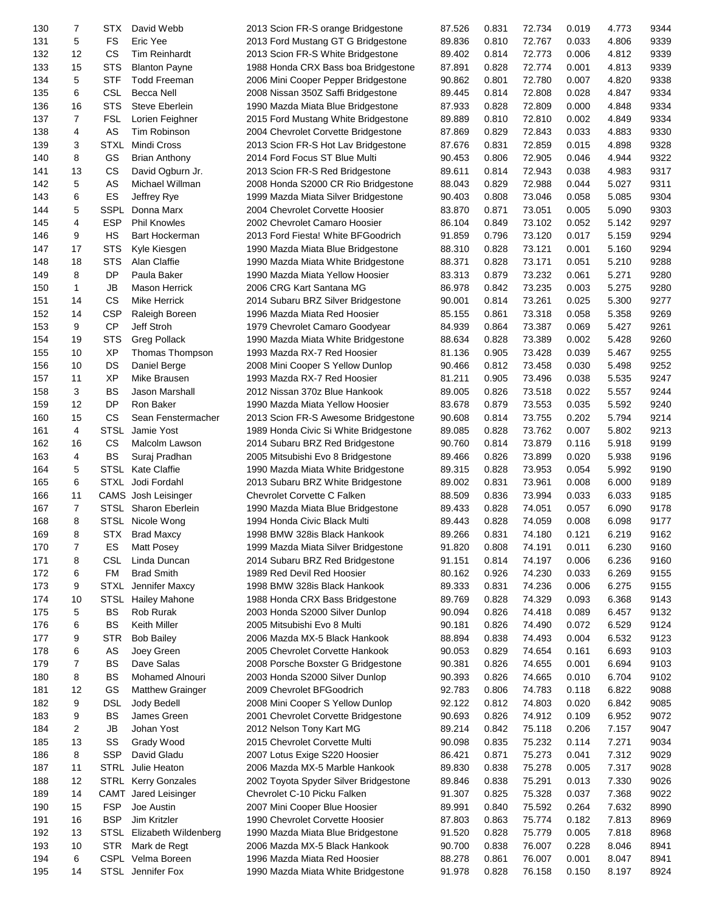| 130 | 7              | STX         | David Webb              | 2013 Scion FR-S orange Bridgestone    | 87.526 | 0.831 | 72.734 | 0.019 | 4.773 | 9344 |
|-----|----------------|-------------|-------------------------|---------------------------------------|--------|-------|--------|-------|-------|------|
| 131 | 5              | <b>FS</b>   | Eric Yee                | 2013 Ford Mustang GT G Bridgestone    | 89.836 | 0.810 | 72.767 | 0.033 | 4.806 | 9339 |
| 132 | 12             | <b>CS</b>   | Tim Reinhardt           | 2013 Scion FR-S White Bridgestone     | 89.402 | 0.814 | 72.773 | 0.006 | 4.812 | 9339 |
| 133 | 15             | <b>STS</b>  | <b>Blanton Payne</b>    | 1988 Honda CRX Bass boa Bridgestone   | 87.891 | 0.828 | 72.774 | 0.001 | 4.813 | 9339 |
| 134 | 5              | <b>STF</b>  | <b>Todd Freeman</b>     | 2006 Mini Cooper Pepper Bridgestone   | 90.862 | 0.801 | 72.780 | 0.007 | 4.820 | 9338 |
| 135 | 6              | <b>CSL</b>  | Becca Nell              | 2008 Nissan 350Z Saffi Bridgestone    | 89.445 | 0.814 | 72.808 | 0.028 | 4.847 | 9334 |
| 136 | 16             | <b>STS</b>  | Steve Eberlein          | 1990 Mazda Miata Blue Bridgestone     | 87.933 | 0.828 | 72.809 | 0.000 | 4.848 | 9334 |
|     | $\overline{7}$ | <b>FSL</b>  |                         |                                       |        |       |        |       |       |      |
| 137 |                |             | Lorien Feighner         | 2015 Ford Mustang White Bridgestone   | 89.889 | 0.810 | 72.810 | 0.002 | 4.849 | 9334 |
| 138 | 4              | AS          | Tim Robinson            | 2004 Chevrolet Corvette Bridgestone   | 87.869 | 0.829 | 72.843 | 0.033 | 4.883 | 9330 |
| 139 | 3              | <b>STXL</b> | Mindi Cross             | 2013 Scion FR-S Hot Lav Bridgestone   | 87.676 | 0.831 | 72.859 | 0.015 | 4.898 | 9328 |
| 140 | 8              | GS          | <b>Brian Anthony</b>    | 2014 Ford Focus ST Blue Multi         | 90.453 | 0.806 | 72.905 | 0.046 | 4.944 | 9322 |
| 141 | 13             | CS          | David Ogburn Jr.        | 2013 Scion FR-S Red Bridgestone       | 89.611 | 0.814 | 72.943 | 0.038 | 4.983 | 9317 |
| 142 | 5              | AS          | Michael Willman         | 2008 Honda S2000 CR Rio Bridgestone   | 88.043 | 0.829 | 72.988 | 0.044 | 5.027 | 9311 |
| 143 | 6              | ES          | Jeffrey Rye             | 1999 Mazda Miata Silver Bridgestone   | 90.403 | 0.808 | 73.046 | 0.058 | 5.085 | 9304 |
| 144 | 5              | <b>SSPL</b> | Donna Marx              | 2004 Chevrolet Corvette Hoosier       | 83.870 | 0.871 | 73.051 | 0.005 | 5.090 | 9303 |
| 145 | 4              | <b>ESP</b>  | <b>Phil Knowles</b>     | 2002 Chevrolet Camaro Hoosier         | 86.104 | 0.849 | 73.102 | 0.052 | 5.142 | 9297 |
| 146 | 9              | <b>HS</b>   | Bart Hockerman          | 2013 Ford Fiesta! White BFGoodrich    | 91.859 | 0.796 | 73.120 | 0.017 | 5.159 | 9294 |
| 147 | 17             | <b>STS</b>  | Kyle Kiesgen            | 1990 Mazda Miata Blue Bridgestone     | 88.310 | 0.828 | 73.121 | 0.001 | 5.160 | 9294 |
| 148 | 18             | <b>STS</b>  | Alan Claffie            | 1990 Mazda Miata White Bridgestone    | 88.371 | 0.828 | 73.171 | 0.051 | 5.210 | 9288 |
| 149 | 8              | <b>DP</b>   | Paula Baker             | 1990 Mazda Miata Yellow Hoosier       | 83.313 | 0.879 | 73.232 | 0.061 | 5.271 | 9280 |
| 150 | 1              | JB          | <b>Mason Herrick</b>    | 2006 CRG Kart Santana MG              | 86.978 | 0.842 | 73.235 | 0.003 | 5.275 | 9280 |
| 151 | 14             | <b>CS</b>   | <b>Mike Herrick</b>     | 2014 Subaru BRZ Silver Bridgestone    | 90.001 | 0.814 | 73.261 | 0.025 | 5.300 | 9277 |
| 152 | 14             | <b>CSP</b>  | Raleigh Boreen          | 1996 Mazda Miata Red Hoosier          |        | 0.861 | 73.318 | 0.058 | 5.358 | 9269 |
|     |                |             |                         |                                       | 85.155 |       |        |       |       |      |
| 153 | 9              | CP          | Jeff Stroh              | 1979 Chevrolet Camaro Goodyear        | 84.939 | 0.864 | 73.387 | 0.069 | 5.427 | 9261 |
| 154 | 19             | <b>STS</b>  | <b>Greg Pollack</b>     | 1990 Mazda Miata White Bridgestone    | 88.634 | 0.828 | 73.389 | 0.002 | 5.428 | 9260 |
| 155 | 10             | XP          | Thomas Thompson         | 1993 Mazda RX-7 Red Hoosier           | 81.136 | 0.905 | 73.428 | 0.039 | 5.467 | 9255 |
| 156 | 10             | DS          | Daniel Berge            | 2008 Mini Cooper S Yellow Dunlop      | 90.466 | 0.812 | 73.458 | 0.030 | 5.498 | 9252 |
| 157 | 11             | <b>XP</b>   | Mike Brausen            | 1993 Mazda RX-7 Red Hoosier           | 81.211 | 0.905 | 73.496 | 0.038 | 5.535 | 9247 |
| 158 | 3              | <b>BS</b>   | Jason Marshall          | 2012 Nissan 370z Blue Hankook         | 89.005 | 0.826 | 73.518 | 0.022 | 5.557 | 9244 |
| 159 | 12             | <b>DP</b>   | Ron Baker               | 1990 Mazda Miata Yellow Hoosier       | 83.678 | 0.879 | 73.553 | 0.035 | 5.592 | 9240 |
| 160 | 15             | <b>CS</b>   | Sean Fenstermacher      | 2013 Scion FR-S Awesome Bridgestone   | 90.608 | 0.814 | 73.755 | 0.202 | 5.794 | 9214 |
| 161 | 4              | <b>STSL</b> | Jamie Yost              | 1989 Honda Civic Si White Bridgestone | 89.085 | 0.828 | 73.762 | 0.007 | 5.802 | 9213 |
| 162 | 16             | <b>CS</b>   | Malcolm Lawson          | 2014 Subaru BRZ Red Bridgestone       | 90.760 | 0.814 | 73.879 | 0.116 | 5.918 | 9199 |
| 163 | 4              | <b>BS</b>   | Suraj Pradhan           | 2005 Mitsubishi Evo 8 Bridgestone     | 89.466 | 0.826 | 73.899 | 0.020 | 5.938 | 9196 |
| 164 | 5              | <b>STSL</b> | <b>Kate Claffie</b>     | 1990 Mazda Miata White Bridgestone    | 89.315 | 0.828 | 73.953 | 0.054 | 5.992 | 9190 |
| 165 | 6              | STXL        | Jodi Fordahl            | 2013 Subaru BRZ White Bridgestone     | 89.002 | 0.831 | 73.961 | 0.008 | 6.000 | 9189 |
| 166 | 11             |             | CAMS Josh Leisinger     | Chevrolet Corvette C Falken           | 88.509 | 0.836 | 73.994 | 0.033 | 6.033 | 9185 |
| 167 | $\overline{7}$ |             | STSL Sharon Eberlein    | 1990 Mazda Miata Blue Bridgestone     | 89.433 | 0.828 | 74.051 | 0.057 | 6.090 | 9178 |
| 168 | 8              | STSL        | Nicole Wong             | 1994 Honda Civic Black Multi          | 89.443 | 0.828 | 74.059 | 0.008 | 6.098 | 9177 |
|     | 8              | <b>STX</b>  |                         | 1998 BMW 328is Black Hankook          |        |       |        |       |       |      |
| 169 |                |             | <b>Brad Maxcy</b>       |                                       | 89.266 | 0.831 | 74.180 | 0.121 | 6.219 | 9162 |
| 170 | 7              | ES          | Matt Posey              | 1999 Mazda Miata Silver Bridgestone   | 91.820 | 0.808 | 74.191 | 0.011 | 6.230 | 9160 |
| 171 | 8              | CSL         | Linda Duncan            | 2014 Subaru BRZ Red Bridgestone       | 91.151 | 0.814 | 74.197 | 0.006 | 6.236 | 9160 |
| 172 | 6              | <b>FM</b>   | <b>Brad Smith</b>       | 1989 Red Devil Red Hoosier            | 80.162 | 0.926 | 74.230 | 0.033 | 6.269 | 9155 |
| 173 | 9              | <b>STXL</b> | Jennifer Maxcy          | 1998 BMW 328is Black Hankook          | 89.333 | 0.831 | 74.236 | 0.006 | 6.275 | 9155 |
| 174 | 10             | STSL        | <b>Hailey Mahone</b>    | 1988 Honda CRX Bass Bridgestone       | 89.769 | 0.828 | 74.329 | 0.093 | 6.368 | 9143 |
| 175 | 5              | BS          | Rob Rurak               | 2003 Honda S2000 Silver Dunlop        | 90.094 | 0.826 | 74.418 | 0.089 | 6.457 | 9132 |
| 176 | 6              | BS          | <b>Keith Miller</b>     | 2005 Mitsubishi Evo 8 Multi           | 90.181 | 0.826 | 74.490 | 0.072 | 6.529 | 9124 |
| 177 | 9              | <b>STR</b>  | <b>Bob Bailey</b>       | 2006 Mazda MX-5 Black Hankook         | 88.894 | 0.838 | 74.493 | 0.004 | 6.532 | 9123 |
| 178 | 6              | AS          | Joey Green              | 2005 Chevrolet Corvette Hankook       | 90.053 | 0.829 | 74.654 | 0.161 | 6.693 | 9103 |
| 179 | 7              | BS          | Dave Salas              | 2008 Porsche Boxster G Bridgestone    | 90.381 | 0.826 | 74.655 | 0.001 | 6.694 | 9103 |
| 180 | 8              | BS          | <b>Mohamed Alnouri</b>  | 2003 Honda S2000 Silver Dunlop        | 90.393 | 0.826 | 74.665 | 0.010 | 6.704 | 9102 |
| 181 | 12             | GS          | <b>Matthew Grainger</b> | 2009 Chevrolet BFGoodrich             | 92.783 | 0.806 | 74.783 | 0.118 | 6.822 | 9088 |
| 182 | 9              | <b>DSL</b>  | Jody Bedell             | 2008 Mini Cooper S Yellow Dunlop      | 92.122 | 0.812 | 74.803 | 0.020 | 6.842 | 9085 |
| 183 | 9              | BS          | James Green             | 2001 Chevrolet Corvette Bridgestone   | 90.693 | 0.826 | 74.912 | 0.109 | 6.952 | 9072 |
| 184 | 2              | JB          | Johan Yost              | 2012 Nelson Tony Kart MG              | 89.214 | 0.842 | 75.118 | 0.206 | 7.157 | 9047 |
| 185 | 13             | SS          | Grady Wood              | 2015 Chevrolet Corvette Multi         | 90.098 | 0.835 | 75.232 | 0.114 | 7.271 | 9034 |
|     |                |             |                         |                                       |        |       |        |       |       |      |
| 186 | 8              | <b>SSP</b>  | David Gladu             | 2007 Lotus Exige S220 Hoosier         | 86.421 | 0.871 | 75.273 | 0.041 | 7.312 | 9029 |
| 187 | 11             | <b>STRL</b> | Julie Heaton            | 2006 Mazda MX-5 Marble Hankook        | 89.830 | 0.838 | 75.278 | 0.005 | 7.317 | 9028 |
| 188 | 12             |             | STRL Kerry Gonzales     | 2002 Toyota Spyder Silver Bridgestone | 89.846 | 0.838 | 75.291 | 0.013 | 7.330 | 9026 |
| 189 | 14             | CAMT        | Jared Leisinger         | Chevrolet C-10 Picku Falken           | 91.307 | 0.825 | 75.328 | 0.037 | 7.368 | 9022 |
| 190 | 15             | <b>FSP</b>  | Joe Austin              | 2007 Mini Cooper Blue Hoosier         | 89.991 | 0.840 | 75.592 | 0.264 | 7.632 | 8990 |
| 191 | 16             | <b>BSP</b>  | Jim Kritzler            | 1990 Chevrolet Corvette Hoosier       | 87.803 | 0.863 | 75.774 | 0.182 | 7.813 | 8969 |
| 192 | 13             | STSL        | Elizabeth Wildenberg    | 1990 Mazda Miata Blue Bridgestone     | 91.520 | 0.828 | 75.779 | 0.005 | 7.818 | 8968 |
| 193 | 10             | <b>STR</b>  | Mark de Regt            | 2006 Mazda MX-5 Black Hankook         | 90.700 | 0.838 | 76.007 | 0.228 | 8.046 | 8941 |
| 194 | 6              |             | CSPL Velma Boreen       | 1996 Mazda Miata Red Hoosier          | 88.278 | 0.861 | 76.007 | 0.001 | 8.047 | 8941 |
| 195 | 14             |             | STSL Jennifer Fox       | 1990 Mazda Miata White Bridgestone    | 91.978 | 0.828 | 76.158 | 0.150 | 8.197 | 8924 |
|     |                |             |                         |                                       |        |       |        |       |       |      |